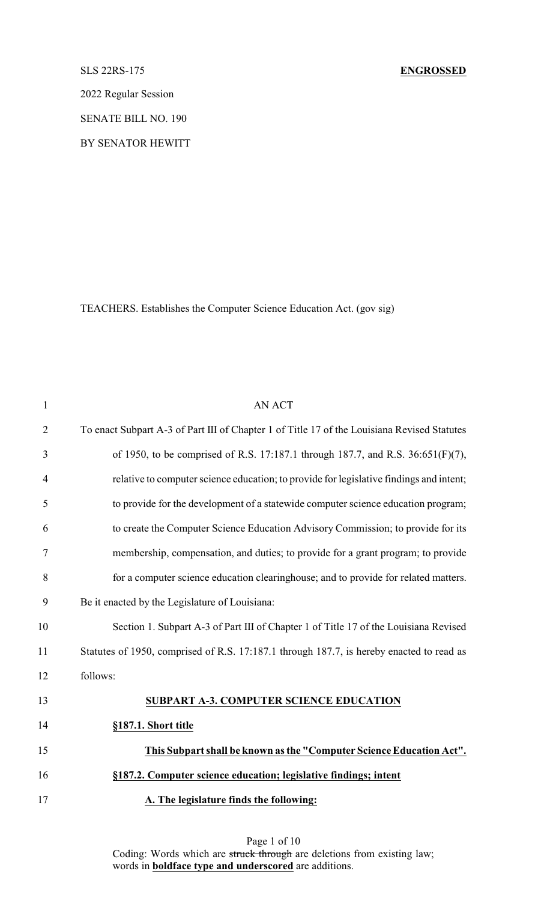2022 Regular Session

SENATE BILL NO. 190

BY SENATOR HEWITT

TEACHERS. Establishes the Computer Science Education Act. (gov sig)

| $\mathbf{1}$   | <b>AN ACT</b>                                                                               |
|----------------|---------------------------------------------------------------------------------------------|
| $\overline{2}$ | To enact Subpart A-3 of Part III of Chapter 1 of Title 17 of the Louisiana Revised Statutes |
| 3              | of 1950, to be comprised of R.S. 17:187.1 through 187.7, and R.S. 36:651(F)(7),             |
| $\overline{4}$ | relative to computer science education; to provide for legislative findings and intent;     |
| 5              | to provide for the development of a statewide computer science education program;           |
| 6              | to create the Computer Science Education Advisory Commission; to provide for its            |
| $\tau$         | membership, compensation, and duties; to provide for a grant program; to provide            |
| 8              | for a computer science education clearinghouse; and to provide for related matters.         |
| 9              | Be it enacted by the Legislature of Louisiana:                                              |
| 10             | Section 1. Subpart A-3 of Part III of Chapter 1 of Title 17 of the Louisiana Revised        |
| 11             | Statutes of 1950, comprised of R.S. 17:187.1 through 187.7, is hereby enacted to read as    |
| 12             | follows:                                                                                    |
| 13             | <b>SUBPART A-3. COMPUTER SCIENCE EDUCATION</b>                                              |
| 14             | §187.1. Short title                                                                         |
| 15             | This Subpart shall be known as the "Computer Science Education Act".                        |
| 16             | §187.2. Computer science education; legislative findings; intent                            |
| 17             | A. The legislature finds the following:                                                     |

Page 1 of 10 Coding: Words which are struck through are deletions from existing law; words in **boldface type and underscored** are additions.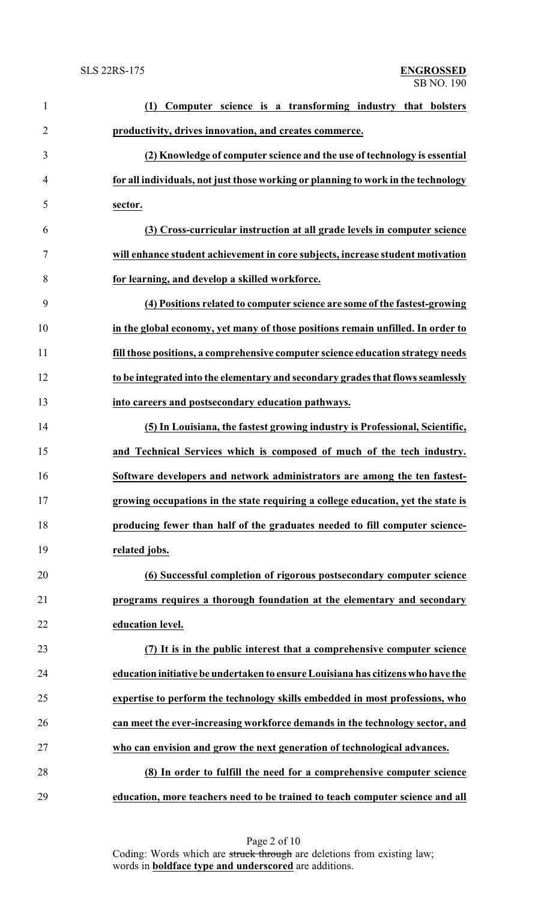| $\mathbf{1}$   | Computer science is a transforming industry that bolsters<br>(1)                  |
|----------------|-----------------------------------------------------------------------------------|
| $\overline{2}$ | productivity, drives innovation, and creates commerce.                            |
| 3              | (2) Knowledge of computer science and the use of technology is essential          |
| $\overline{4}$ | for all individuals, not just those working or planning to work in the technology |
| 5              | sector.                                                                           |
| 6              | (3) Cross-curricular instruction at all grade levels in computer science          |
| $\tau$         | will enhance student achievement in core subjects, increase student motivation    |
| 8              | for learning, and develop a skilled workforce.                                    |
| 9              | (4) Positions related to computer science are some of the fastest-growing         |
| 10             | in the global economy, yet many of those positions remain unfilled. In order to   |
| 11             | fill those positions, a comprehensive computer science education strategy needs   |
| 12             | to be integrated into the elementary and secondary grades that flows seamlessly   |
| 13             | into careers and postsecondary education pathways.                                |
| 14             | (5) In Louisiana, the fastest growing industry is Professional, Scientific,       |
| 15             | and Technical Services which is composed of much of the tech industry.            |
| 16             | Software developers and network administrators are among the ten fastest-         |
| 17             | growing occupations in the state requiring a college education, yet the state is  |
| 18             | producing fewer than half of the graduates needed to fill computer science-       |
| 19             | related jobs.                                                                     |
| 20             | (6) Successful completion of rigorous postsecondary computer science              |
| 21             | programs requires a thorough foundation at the elementary and secondary           |
| 22             | education level.                                                                  |
| 23             | (7) It is in the public interest that a comprehensive computer science            |
| 24             | education initiative be undertaken to ensure Louisiana has citizens who have the  |
| 25             | expertise to perform the technology skills embedded in most professions, who      |
| 26             | can meet the ever-increasing workforce demands in the technology sector, and      |
| 27             | who can envision and grow the next generation of technological advances.          |
| 28             | (8) In order to fulfill the need for a comprehensive computer science             |
| 29             | education, more teachers need to be trained to teach computer science and all     |

Page 2 of 10 Coding: Words which are struck through are deletions from existing law; words in **boldface type and underscored** are additions.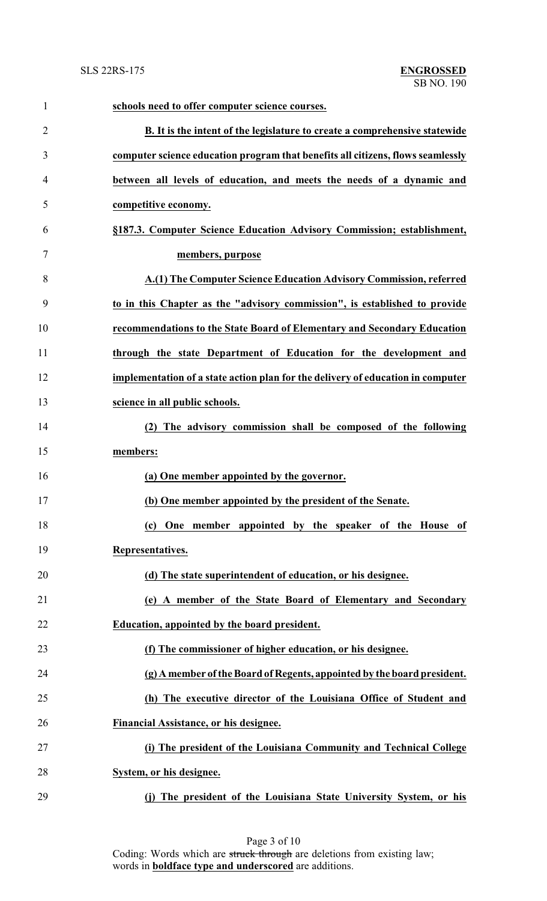| $\mathbf{1}$   | schools need to offer computer science courses.                                 |
|----------------|---------------------------------------------------------------------------------|
| $\overline{2}$ | B. It is the intent of the legislature to create a comprehensive statewide      |
| 3              | computer science education program that benefits all citizens, flows seamlessly |
| 4              | between all levels of education, and meets the needs of a dynamic and           |
| 5              | competitive economy.                                                            |
| 6              | §187.3. Computer Science Education Advisory Commission; establishment,          |
| 7              | members, purpose                                                                |
| 8              | A.(1) The Computer Science Education Advisory Commission, referred              |
| 9              | to in this Chapter as the "advisory commission", is established to provide      |
| 10             | recommendations to the State Board of Elementary and Secondary Education        |
| 11             | through the state Department of Education for the development and               |
| 12             | implementation of a state action plan for the delivery of education in computer |
| 13             | science in all public schools.                                                  |
| 14             | (2) The advisory commission shall be composed of the following                  |
| 15             | members:                                                                        |
| 16             | (a) One member appointed by the governor.                                       |
| 17             | (b) One member appointed by the president of the Senate                         |
| 18             | (c) One member appointed by the speaker of the House of                         |
| 19             | Representatives.                                                                |
| 20             | (d) The state superintendent of education, or his designee.                     |
| 21             | (e) A member of the State Board of Elementary and Secondary                     |
| 22             | Education, appointed by the board president.                                    |
| 23             | (f) The commissioner of higher education, or his designee.                      |
| 24             | (g) A member of the Board of Regents, appointed by the board president.         |
| 25             | (h) The executive director of the Louisiana Office of Student and               |
| 26             | Financial Assistance, or his designee.                                          |
| 27             | (i) The president of the Louisiana Community and Technical College              |
| 28             | System, or his designee.                                                        |
| 29             | (j) The president of the Louisiana State University System, or his              |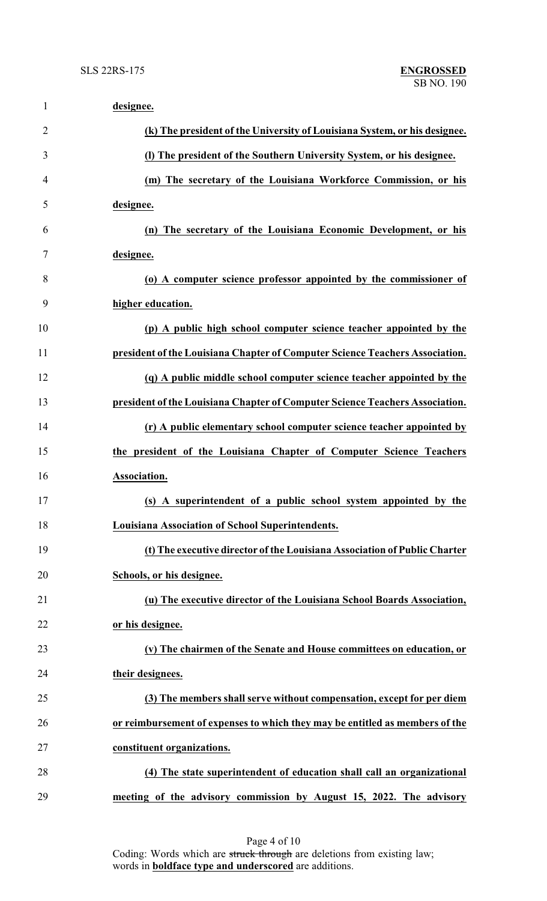| $\mathbf{1}$   | designee.                                                                    |
|----------------|------------------------------------------------------------------------------|
| $\overline{2}$ | (k) The president of the University of Louisiana System, or his designee.    |
| 3              | (I) The president of the Southern University System, or his designee.        |
| 4              | (m) The secretary of the Louisiana Workforce Commission, or his              |
| 5              | designee.                                                                    |
| 6              | (n) The secretary of the Louisiana Economic Development, or his              |
| 7              | designee.                                                                    |
| 8              | (o) A computer science professor appointed by the commissioner of            |
| 9              | higher education.                                                            |
| 10             | (p) A public high school computer science teacher appointed by the           |
| 11             | president of the Louisiana Chapter of Computer Science Teachers Association. |
| 12             | (q) A public middle school computer science teacher appointed by the         |
| 13             | president of the Louisiana Chapter of Computer Science Teachers Association. |
| 14             | (r) A public elementary school computer science teacher appointed by         |
| 15             | the president of the Louisiana Chapter of Computer Science Teachers          |
| 16             | Association.                                                                 |
| 17             | (s) A superintendent of a public school system appointed by the              |
| 18             | <b>Louisiana Association of School Superintendents.</b>                      |
| 19             | (t) The executive director of the Louisiana Association of Public Charter    |
| 20             | Schools, or his designee.                                                    |
| 21             | (u) The executive director of the Louisiana School Boards Association,       |
| 22             | or his designee.                                                             |
| 23             | (v) The chairmen of the Senate and House committees on education, or         |
| 24             | their designees.                                                             |
| 25             | (3) The members shall serve without compensation, except for per diem        |
| 26             | or reimbursement of expenses to which they may be entitled as members of the |
| 27             | constituent organizations.                                                   |
| 28             | (4) The state superintendent of education shall call an organizational       |
| 29             | meeting of the advisory commission by August 15, 2022. The advisory          |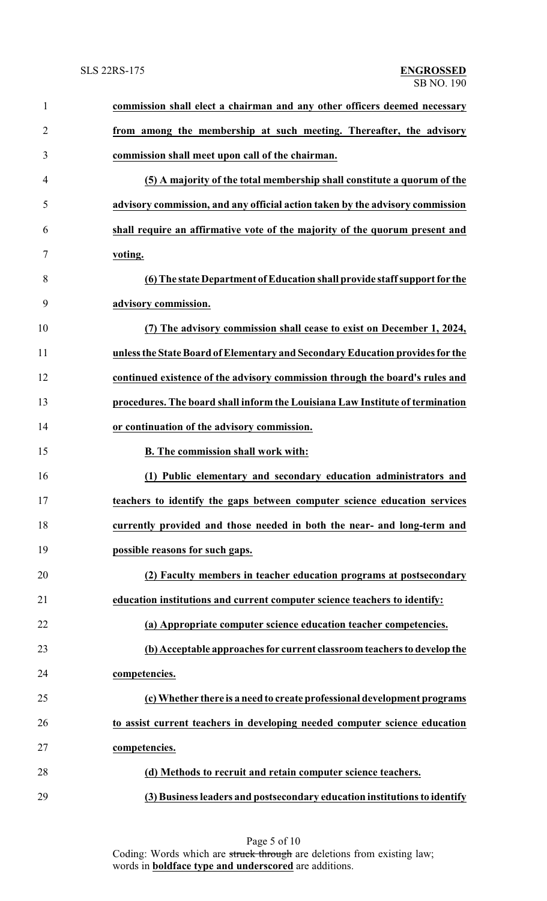| 1              | commission shall elect a chairman and any other officers deemed necessary     |
|----------------|-------------------------------------------------------------------------------|
| $\overline{2}$ | from among the membership at such meeting. Thereafter, the advisory           |
| 3              | commission shall meet upon call of the chairman.                              |
| 4              | (5) A majority of the total membership shall constitute a quorum of the       |
| 5              | advisory commission, and any official action taken by the advisory commission |
| 6              | shall require an affirmative vote of the majority of the quorum present and   |
| 7              | voting.                                                                       |
| 8              | (6) The state Department of Education shall provide staff support for the     |
| 9              | advisory commission.                                                          |
| 10             | (7) The advisory commission shall cease to exist on December 1, 2024,         |
| 11             | unless the State Board of Elementary and Secondary Education provides for the |
| 12             | continued existence of the advisory commission through the board's rules and  |
| 13             | procedures. The board shall inform the Louisiana Law Institute of termination |
| 14             | or continuation of the advisory commission.                                   |
| 15             | B. The commission shall work with:                                            |
| 16             | (1) Public elementary and secondary education administrators and              |
| 17             | teachers to identify the gaps between computer science education services     |
| 18             | currently provided and those needed in both the near- and long-term and       |
| 19             | possible reasons for such gaps.                                               |
| 20             | (2) Faculty members in teacher education programs at postsecondary            |
| 21             | education institutions and current computer science teachers to identify:     |
| 22             | (a) Appropriate computer science education teacher competencies.              |
| 23             | (b) Acceptable approaches for current classroom teachers to develop the       |
| 24             | competencies.                                                                 |
| 25             | (c) Whether there is a need to create professional development programs       |
| 26             | to assist current teachers in developing needed computer science education    |
| 27             | competencies.                                                                 |
| 28             | (d) Methods to recruit and retain computer science teachers.                  |
| 29             | (3) Business leaders and postsecondary education institutions to identify     |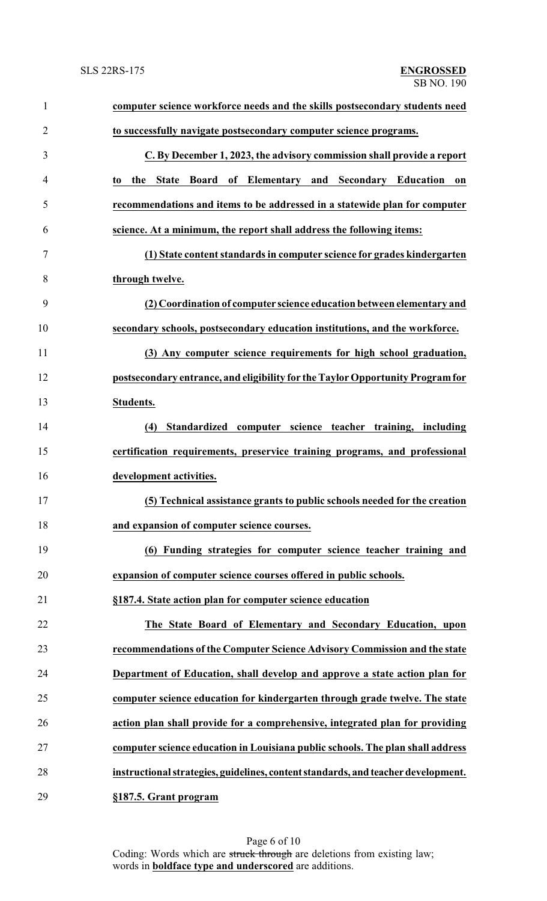| $\mathbf{1}$   | computer science workforce needs and the skills postsecondary students need       |
|----------------|-----------------------------------------------------------------------------------|
| $\overline{2}$ | to successfully navigate postsecondary computer science programs.                 |
| 3              | C. By December 1, 2023, the advisory commission shall provide a report            |
| 4              | the State Board of Elementary and Secondary Education<br>on<br>to                 |
| 5              | recommendations and items to be addressed in a statewide plan for computer        |
| 6              | science. At a minimum, the report shall address the following items:              |
| 7              | (1) State content standards in computer science for grades kindergarten           |
| 8              | through twelve.                                                                   |
| 9              | (2) Coordination of computer science education between elementary and             |
| 10             | secondary schools, postsecondary education institutions, and the workforce.       |
| 11             | (3) Any computer science requirements for high school graduation,                 |
| 12             | postsecondary entrance, and eligibility for the Taylor Opportunity Program for    |
| 13             | Students.                                                                         |
| 14             | Standardized computer science teacher training, including<br>(4)                  |
| 15             | certification requirements, preservice training programs, and professional        |
| 16             | development activities.                                                           |
| 17             | (5) Technical assistance grants to public schools needed for the creation         |
| 18             | and expansion of computer science courses.                                        |
| 19             | (6) Funding strategies for computer science teacher training and                  |
| 20             | expansion of computer science courses offered in public schools.                  |
| 21             | §187.4. State action plan for computer science education                          |
| 22             | The State Board of Elementary and Secondary Education, upon                       |
| 23             | recommendations of the Computer Science Advisory Commission and the state         |
| 24             | Department of Education, shall develop and approve a state action plan for        |
| 25             | computer science education for kindergarten through grade twelve. The state       |
| 26             | action plan shall provide for a comprehensive, integrated plan for providing      |
| 27             | computer science education in Louisiana public schools. The plan shall address    |
| 28             | instructional strategies, guidelines, content standards, and teacher development. |
| 29             | §187.5. Grant program                                                             |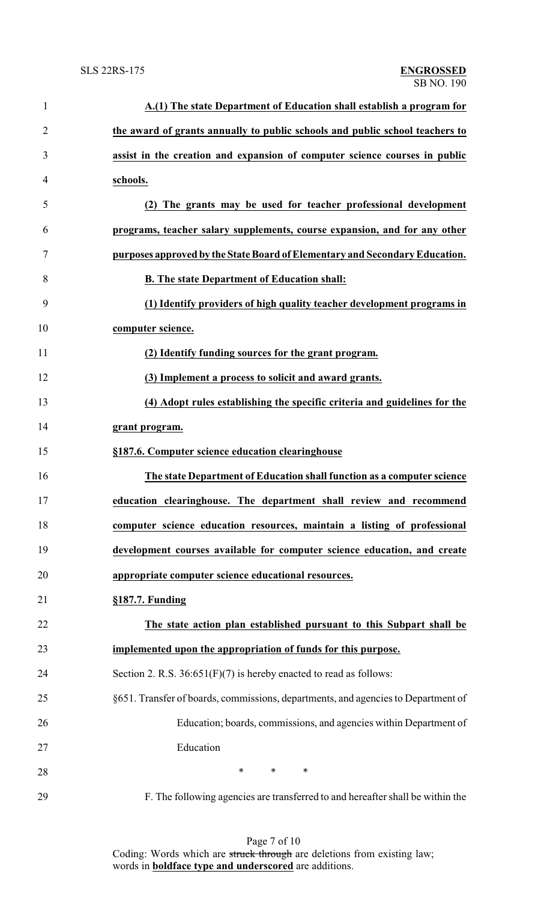| $\mathbf{1}$   | A.(1) The state Department of Education shall establish a program for             |
|----------------|-----------------------------------------------------------------------------------|
| $\overline{2}$ | the award of grants annually to public schools and public school teachers to      |
| 3              | assist in the creation and expansion of computer science courses in public        |
| 4              | schools.                                                                          |
| 5              | (2) The grants may be used for teacher professional development                   |
| 6              | programs, teacher salary supplements, course expansion, and for any other         |
| 7              | purposes approved by the State Board of Elementary and Secondary Education.       |
| 8              | <b>B.</b> The state Department of Education shall:                                |
| 9              | (1) Identify providers of high quality teacher development programs in            |
| 10             | computer science.                                                                 |
| 11             | (2) Identify funding sources for the grant program.                               |
| 12             | (3) Implement a process to solicit and award grants.                              |
| 13             | (4) Adopt rules establishing the specific criteria and guidelines for the         |
| 14             | grant program.                                                                    |
| 15             | §187.6. Computer science education clearinghouse                                  |
| 16             | The state Department of Education shall function as a computer science            |
| 17             | education clearinghouse. The department shall review and recommend                |
| 18             | computer science education resources, maintain a listing of professional          |
| 19             | development courses available for computer science education, and create          |
| 20             | appropriate computer science educational resources.                               |
| 21             | $§187.7.$ Funding                                                                 |
| 22             | The state action plan established pursuant to this Subpart shall be               |
| 23             | implemented upon the appropriation of funds for this purpose.                     |
| 24             | Section 2. R.S. $36:651(F)(7)$ is hereby enacted to read as follows:              |
| 25             | §651. Transfer of boards, commissions, departments, and agencies to Department of |
| 26             | Education; boards, commissions, and agencies within Department of                 |
| 27             | Education                                                                         |
| 28             | $\ast$<br>∗<br>∗                                                                  |
| 29             | F. The following agencies are transferred to and hereafter shall be within the    |

Page 7 of 10 Coding: Words which are struck through are deletions from existing law; words in **boldface type and underscored** are additions.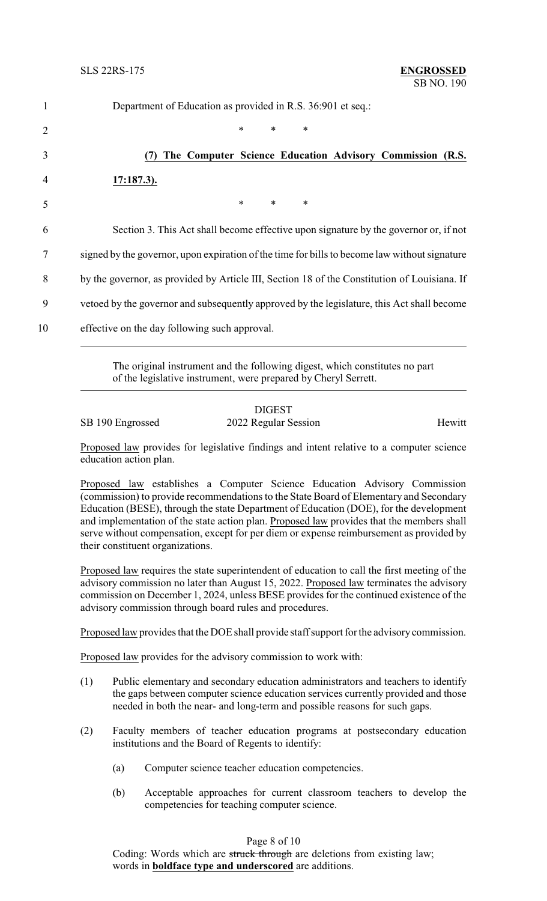| $\mathbf{1}$   | Department of Education as provided in R.S. 36:901 et seq.:                                   |
|----------------|-----------------------------------------------------------------------------------------------|
| 2              | $\ast$<br>$\ast$<br>∗                                                                         |
| 3              | The Computer Science Education Advisory Commission (R.S.                                      |
| $\overline{4}$ | $17:187.3$ ).                                                                                 |
| 5              | $\ast$<br>$\ast$<br>$\ast$                                                                    |
| 6              | Section 3. This Act shall become effective upon signature by the governor or, if not          |
| 7              | signed by the governor, upon expiration of the time for bills to become law without signature |
| 8              | by the governor, as provided by Article III, Section 18 of the Constitution of Louisiana. If  |
| 9              | verticed by the governor and subsequently approved by the legislature, this Act shall become  |
| 10             | effective on the day following such approval.                                                 |

The original instrument and the following digest, which constitutes no part of the legislative instrument, were prepared by Cheryl Serrett.

### DIGEST SB 190 Engrossed 2022 Regular Session Hewitt

Proposed law provides for legislative findings and intent relative to a computer science education action plan.

Proposed law establishes a Computer Science Education Advisory Commission (commission) to provide recommendations to the State Board of Elementary and Secondary Education (BESE), through the state Department of Education (DOE), for the development and implementation of the state action plan. Proposed law provides that the members shall serve without compensation, except for per diem or expense reimbursement as provided by their constituent organizations.

Proposed law requires the state superintendent of education to call the first meeting of the advisory commission no later than August 15, 2022. Proposed law terminates the advisory commission on December 1, 2024, unless BESE provides for the continued existence of the advisory commission through board rules and procedures.

Proposed law provides that the DOE shall provide staff support for the advisory commission.

Proposed law provides for the advisory commission to work with:

- (1) Public elementary and secondary education administrators and teachers to identify the gaps between computer science education services currently provided and those needed in both the near- and long-term and possible reasons for such gaps.
- (2) Faculty members of teacher education programs at postsecondary education institutions and the Board of Regents to identify:
	- (a) Computer science teacher education competencies.
	- (b) Acceptable approaches for current classroom teachers to develop the competencies for teaching computer science.

## Page 8 of 10

Coding: Words which are struck through are deletions from existing law; words in **boldface type and underscored** are additions.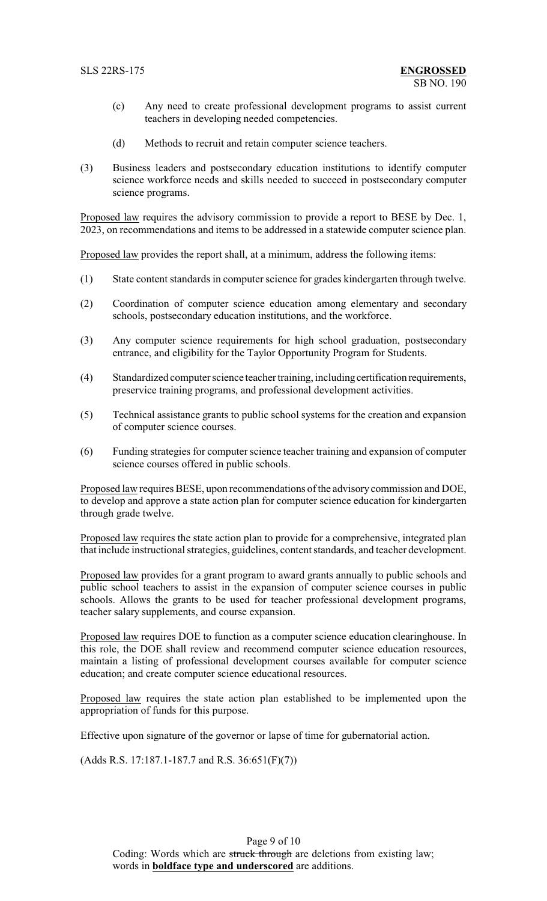- (c) Any need to create professional development programs to assist current teachers in developing needed competencies.
- (d) Methods to recruit and retain computer science teachers.
- (3) Business leaders and postsecondary education institutions to identify computer science workforce needs and skills needed to succeed in postsecondary computer science programs.

Proposed law requires the advisory commission to provide a report to BESE by Dec. 1, 2023, on recommendations and items to be addressed in a statewide computer science plan.

Proposed law provides the report shall, at a minimum, address the following items:

- (1) State content standards in computer science for grades kindergarten through twelve.
- (2) Coordination of computer science education among elementary and secondary schools, postsecondary education institutions, and the workforce.
- (3) Any computer science requirements for high school graduation, postsecondary entrance, and eligibility for the Taylor Opportunity Program for Students.
- (4) Standardized computer science teacher training, includingcertification requirements, preservice training programs, and professional development activities.
- (5) Technical assistance grants to public school systems for the creation and expansion of computer science courses.
- (6) Funding strategies for computer science teacher training and expansion of computer science courses offered in public schools.

Proposed law requires BESE, upon recommendations of the advisory commission and DOE, to develop and approve a state action plan for computer science education for kindergarten through grade twelve.

Proposed law requires the state action plan to provide for a comprehensive, integrated plan that include instructional strategies, guidelines, content standards, and teacher development.

Proposed law provides for a grant program to award grants annually to public schools and public school teachers to assist in the expansion of computer science courses in public schools. Allows the grants to be used for teacher professional development programs, teacher salary supplements, and course expansion.

Proposed law requires DOE to function as a computer science education clearinghouse. In this role, the DOE shall review and recommend computer science education resources, maintain a listing of professional development courses available for computer science education; and create computer science educational resources.

Proposed law requires the state action plan established to be implemented upon the appropriation of funds for this purpose.

Effective upon signature of the governor or lapse of time for gubernatorial action.

(Adds R.S. 17:187.1-187.7 and R.S. 36:651(F)(7))